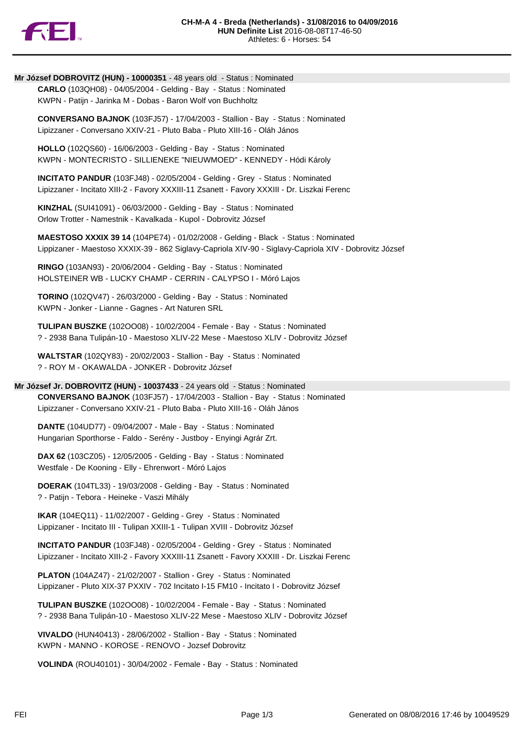

# **Mr József DOBROVITZ (HUN) - 10000351** - 48 years old - Status : Nominated

**CARLO** (103QH08) - 04/05/2004 - Gelding - Bay - Status : Nominated KWPN - Patijn - Jarinka M - Dobas - Baron Wolf von Buchholtz

**CONVERSANO BAJNOK** (103FJ57) - 17/04/2003 - Stallion - Bay - Status : Nominated Lipizzaner - Conversano XXIV-21 - Pluto Baba - Pluto XIII-16 - Oláh János

**HOLLO** (102QS60) - 16/06/2003 - Gelding - Bay - Status : Nominated KWPN - MONTECRISTO - SILLIENEKE "NIEUWMOED" - KENNEDY - Hódi Károly

**INCITATO PANDUR** (103FJ48) - 02/05/2004 - Gelding - Grey - Status : Nominated Lipizzaner - Incitato XIII-2 - Favory XXXIII-11 Zsanett - Favory XXXIII - Dr. Liszkai Ferenc

**KINZHAL** (SUI41091) - 06/03/2000 - Gelding - Bay - Status : Nominated Orlow Trotter - Namestnik - Kavalkada - Kupol - Dobrovitz József

**MAESTOSO XXXIX 39 14** (104PE74) - 01/02/2008 - Gelding - Black - Status : Nominated Lippizaner - Maestoso XXXIX-39 - 862 Siglavy-Capriola XIV-90 - Siglavy-Capriola XIV - Dobrovitz József

**RINGO** (103AN93) - 20/06/2004 - Gelding - Bay - Status : Nominated HOLSTEINER WB - LUCKY CHAMP - CERRIN - CALYPSO I - Móró Lajos

**TORINO** (102QV47) - 26/03/2000 - Gelding - Bay - Status : Nominated KWPN - Jonker - Lianne - Gagnes - Art Naturen SRL

**TULIPAN BUSZKE** (102OO08) - 10/02/2004 - Female - Bay - Status : Nominated ? - 2938 Bana Tulipán-10 - Maestoso XLIV-22 Mese - Maestoso XLIV - Dobrovitz József

**WALTSTAR** (102QY83) - 20/02/2003 - Stallion - Bay - Status : Nominated ? - ROY M - OKAWALDA - JONKER - Dobrovitz József

### **Mr József Jr. DOBROVITZ (HUN) - 10037433** - 24 years old - Status : Nominated

**CONVERSANO BAJNOK** (103FJ57) - 17/04/2003 - Stallion - Bay - Status : Nominated Lipizzaner - Conversano XXIV-21 - Pluto Baba - Pluto XIII-16 - Oláh János

**DANTE** (104UD77) - 09/04/2007 - Male - Bay - Status : Nominated Hungarian Sporthorse - Faldo - Serény - Justboy - Enyingi Agrár Zrt.

**DAX 62** (103CZ05) - 12/05/2005 - Gelding - Bay - Status : Nominated Westfale - De Kooning - Elly - Ehrenwort - Móró Lajos

**DOERAK** (104TL33) - 19/03/2008 - Gelding - Bay - Status : Nominated ? - Patijn - Tebora - Heineke - Vaszi Mihály

**IKAR** (104EQ11) - 11/02/2007 - Gelding - Grey - Status : Nominated Lippizaner - Incitato III - Tulipan XXIII-1 - Tulipan XVIII - Dobrovitz József

**INCITATO PANDUR** (103FJ48) - 02/05/2004 - Gelding - Grey - Status : Nominated Lipizzaner - Incitato XIII-2 - Favory XXXIII-11 Zsanett - Favory XXXIII - Dr. Liszkai Ferenc

**PLATON** (104AZ47) - 21/02/2007 - Stallion - Grey - Status : Nominated Lippizaner - Pluto XIX-37 PXXIV - 702 Incitato I-15 FM10 - Incitato I - Dobrovitz József

**TULIPAN BUSZKE** (102OO08) - 10/02/2004 - Female - Bay - Status : Nominated ? - 2938 Bana Tulipán-10 - Maestoso XLIV-22 Mese - Maestoso XLIV - Dobrovitz József

**VIVALDO** (HUN40413) - 28/06/2002 - Stallion - Bay - Status : Nominated KWPN - MANNO - KOROSE - RENOVO - Jozsef Dobrovitz

**VOLINDA** (ROU40101) - 30/04/2002 - Female - Bay - Status : Nominated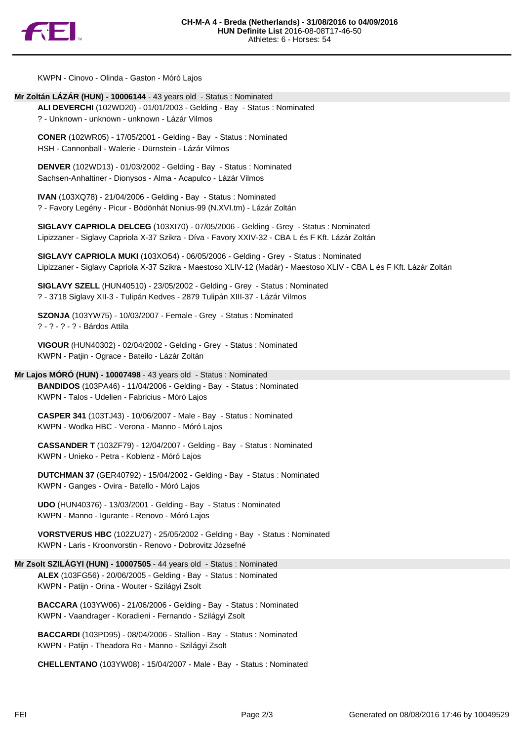

KWPN - Cinovo - Olinda - Gaston - Móró Lajos

# **Mr Zoltán LÁZÁR (HUN) - 10006144** - 43 years old - Status : Nominated

**ALI DEVERCHI** (102WD20) - 01/01/2003 - Gelding - Bay - Status : Nominated ? - Unknown - unknown - unknown - Lázár Vilmos

**CONER** (102WR05) - 17/05/2001 - Gelding - Bay - Status : Nominated HSH - Cannonball - Walerie - Dürnstein - Lázár Vilmos

**DENVER** (102WD13) - 01/03/2002 - Gelding - Bay - Status : Nominated Sachsen-Anhaltiner - Dionysos - Alma - Acapulco - Lázár Vilmos

**IVAN** (103XQ78) - 21/04/2006 - Gelding - Bay - Status : Nominated ? - Favory Legény - Picur - Bödönhát Nonius-99 (N.XVI.tm) - Lázár Zoltán

**SIGLAVY CAPRIOLA DELCEG** (103XI70) - 07/05/2006 - Gelding - Grey - Status : Nominated Lipizzaner - Siglavy Capriola X-37 Szikra - Díva - Favory XXIV-32 - CBA L és F Kft. Lázár Zoltán

**SIGLAVY CAPRIOLA MUKI** (103XO54) - 06/05/2006 - Gelding - Grey - Status : Nominated Lipizzaner - Siglavy Capriola X-37 Szikra - Maestoso XLIV-12 (Madár) - Maestoso XLIV - CBA L és F Kft. Lázár Zoltán

**SIGLAVY SZELL** (HUN40510) - 23/05/2002 - Gelding - Grey - Status : Nominated ? - 3718 Siglavy XII-3 - Tulipán Kedves - 2879 Tulipán XIII-37 - Lázár Vilmos

**SZONJA** (103YW75) - 10/03/2007 - Female - Grey - Status : Nominated ? - ? - ? - ? - Bárdos Attila

**VIGOUR** (HUN40302) - 02/04/2002 - Gelding - Grey - Status : Nominated KWPN - Patjin - Ograce - Bateilo - Lázár Zoltán

# **Mr Lajos MÓRÓ (HUN) - 10007498** - 43 years old - Status : Nominated

**BANDIDOS** (103PA46) - 11/04/2006 - Gelding - Bay - Status : Nominated KWPN - Talos - Udelien - Fabricius - Móró Lajos

**CASPER 341** (103TJ43) - 10/06/2007 - Male - Bay - Status : Nominated KWPN - Wodka HBC - Verona - Manno - Móró Lajos

**CASSANDER T** (103ZF79) - 12/04/2007 - Gelding - Bay - Status : Nominated KWPN - Unieko - Petra - Koblenz - Móró Lajos

**DUTCHMAN 37** (GER40792) - 15/04/2002 - Gelding - Bay - Status : Nominated KWPN - Ganges - Ovira - Batello - Móró Lajos

**UDO** (HUN40376) - 13/03/2001 - Gelding - Bay - Status : Nominated KWPN - Manno - Igurante - Renovo - Móró Lajos

**VORSTVERUS HBC** (102ZU27) - 25/05/2002 - Gelding - Bay - Status : Nominated KWPN - Laris - Kroonvorstin - Renovo - Dobrovitz Józsefné

#### **Mr Zsolt SZILÁGYI (HUN) - 10007505** - 44 years old - Status : Nominated

**ALEX** (103FG56) - 20/06/2005 - Gelding - Bay - Status : Nominated KWPN - Patijn - Orina - Wouter - Szilágyi Zsolt

**BACCARA** (103YW06) - 21/06/2006 - Gelding - Bay - Status : Nominated KWPN - Vaandrager - Koradieni - Fernando - Szilágyi Zsolt

**BACCARDI** (103PD95) - 08/04/2006 - Stallion - Bay - Status : Nominated KWPN - Patijn - Theadora Ro - Manno - Szilágyi Zsolt

**CHELLENTANO** (103YW08) - 15/04/2007 - Male - Bay - Status : Nominated